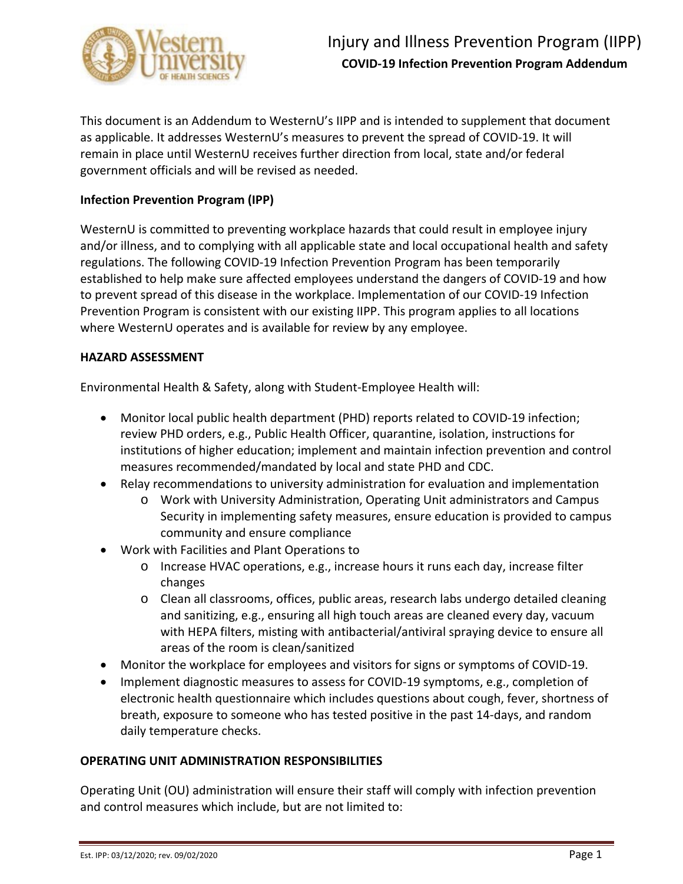

This document is an Addendum to WesternU's IIPP and is intended to supplement that document as applicable. It addresses WesternU's measures to prevent the spread of COVID-19. It will remain in place until WesternU receives further direction from local, state and/or federal government officials and will be revised as needed.

## **Infection Prevention Program (IPP)**

WesternU is committed to preventing workplace hazards that could result in employee injury and/or illness, and to complying with all applicable state and local occupational health and safety regulations. The following COVID-19 Infection Prevention Program has been temporarily established to help make sure affected employees understand the dangers of COVID-19 and how to prevent spread of this disease in the workplace. Implementation of our COVID-19 Infection Prevention Program is consistent with our existing IIPP. This program applies to all locations where WesternU operates and is available for review by any employee.

#### **HAZARD ASSESSMENT**

Environmental Health & Safety, along with Student-Employee Health will:

- Monitor local public health department (PHD) reports related to COVID-19 infection; review PHD orders, e.g., Public Health Officer, quarantine, isolation, instructions for institutions of higher education; implement and maintain infection prevention and control measures recommended/mandated by local and state PHD and CDC.
- Relay recommendations to university administration for evaluation and implementation
	- o Work with University Administration, Operating Unit administrators and Campus Security in implementing safety measures, ensure education is provided to campus community and ensure compliance
- Work with Facilities and Plant Operations to
	- o Increase HVAC operations, e.g., increase hours it runs each day, increase filter changes
	- o Clean all classrooms, offices, public areas, research labs undergo detailed cleaning and sanitizing, e.g., ensuring all high touch areas are cleaned every day, vacuum with HEPA filters, misting with antibacterial/antiviral spraying device to ensure all areas of the room is clean/sanitized
- Monitor the workplace for employees and visitors for signs or symptoms of COVID-19.
- Implement diagnostic measures to assess for COVID-19 symptoms, e.g., completion of electronic health questionnaire which includes questions about cough, fever, shortness of breath, exposure to someone who has tested positive in the past 14-days, and random daily temperature checks.

### **OPERATING UNIT ADMINISTRATION RESPONSIBILITIES**

Operating Unit (OU) administration will ensure their staff will comply with infection prevention and control measures which include, but are not limited to: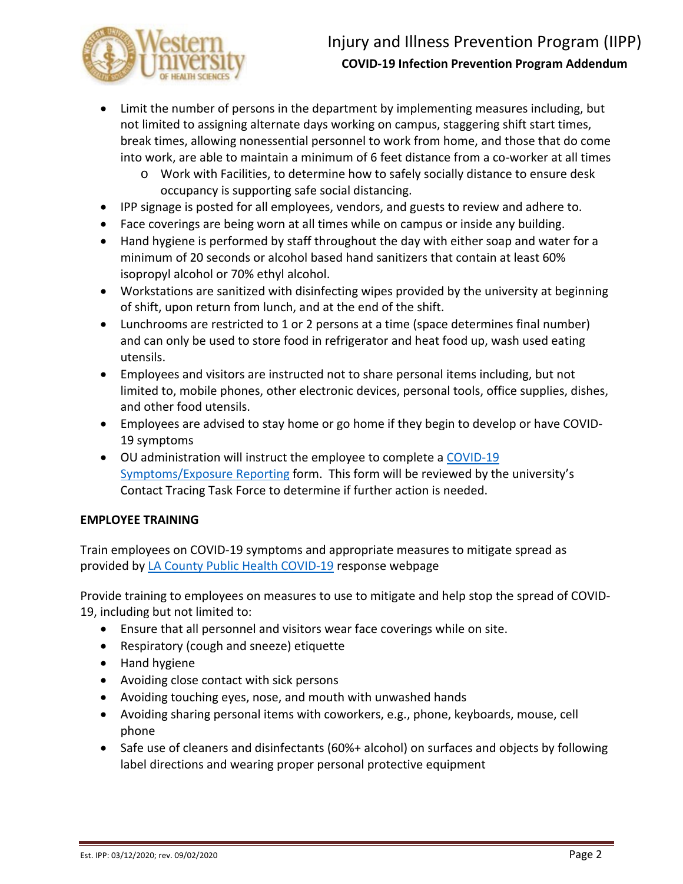

- Limit the number of persons in the department by implementing measures including, but not limited to assigning alternate days working on campus, staggering shift start times, break times, allowing nonessential personnel to work from home, and those that do come into work, are able to maintain a minimum of 6 feet distance from a co-worker at all times
	- o Work with Facilities, to determine how to safely socially distance to ensure desk occupancy is supporting safe social distancing.
- IPP signage is posted for all employees, vendors, and guests to review and adhere to.
- Face coverings are being worn at all times while on campus or inside any building.
- Hand hygiene is performed by staff throughout the day with either soap and water for a minimum of 20 seconds or alcohol based hand sanitizers that contain at least 60% isopropyl alcohol or 70% ethyl alcohol.
- Workstations are sanitized with disinfecting wipes provided by the university at beginning of shift, upon return from lunch, and at the end of the shift.
- Lunchrooms are restricted to 1 or 2 persons at a time (space determines final number) and can only be used to store food in refrigerator and heat food up, wash used eating utensils.
- Employees and visitors are instructed not to share personal items including, but not limited to, mobile phones, other electronic devices, personal tools, office supplies, dishes, and other food utensils.
- Employees are advised to stay home or go home if they begin to develop or have COVID-19 symptoms
- OU administration will instruct the employee to complete a COVID-19 [Symptoms/Exposure Reporting](https://westernu.az1.qualtrics.com/jfe/form/SV_eg1tUWhiYA2kVVP) form. This form will be reviewed by the university's Contact Tracing Task Force to determine if further action is needed.

# **EMPLOYEE TRAINING**

Train employees on COVID-19 symptoms and appropriate measures to mitigate spread as provided b[y LA County Public Health COVID-19](file://nas-f2.westernu.edu/WUShare/EHS/IIPP/LA%20County%20Public%20Health%20COVID-19) response webpage

Provide training to employees on measures to use to mitigate and help stop the spread of COVID-19, including but not limited to:

- Ensure that all personnel and visitors wear face coverings while on site.
- Respiratory (cough and sneeze) etiquette
- Hand hygiene
- Avoiding close contact with sick persons
- Avoiding touching eyes, nose, and mouth with unwashed hands
- Avoiding sharing personal items with coworkers, e.g., phone, keyboards, mouse, cell phone
- Safe use of cleaners and disinfectants (60%+ alcohol) on surfaces and objects by following label directions and wearing proper personal protective equipment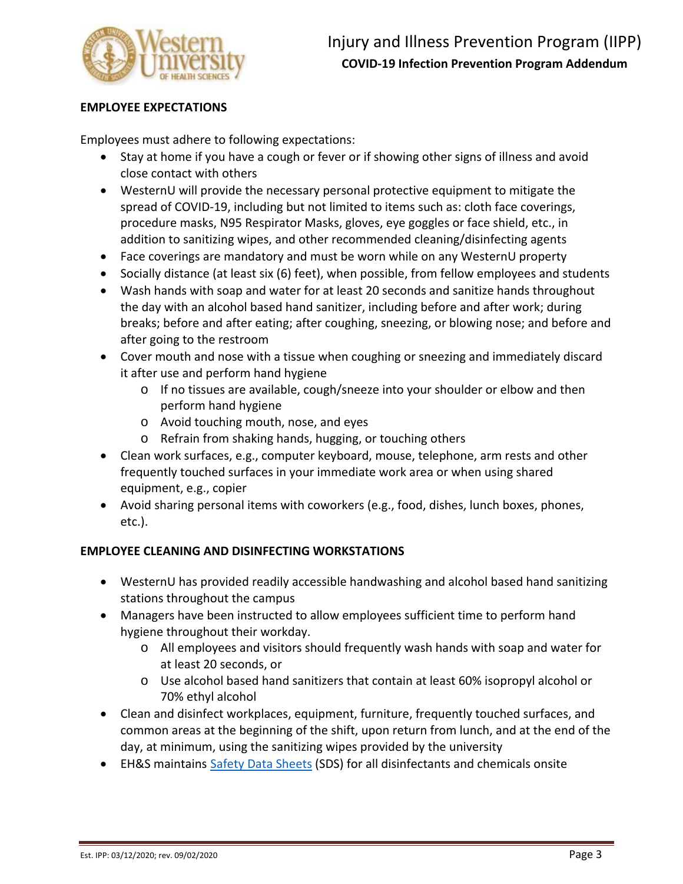

## **EMPLOYEE EXPECTATIONS**

Employees must adhere to following expectations:

- Stay at home if you have a cough or fever or if showing other signs of illness and avoid close contact with others
- WesternU will provide the necessary personal protective equipment to mitigate the spread of COVID-19, including but not limited to items such as: cloth face coverings, procedure masks, N95 Respirator Masks, gloves, eye goggles or face shield, etc., in addition to sanitizing wipes, and other recommended cleaning/disinfecting agents
- Face coverings are mandatory and must be worn while on any WesternU property
- Socially distance (at least six (6) feet), when possible, from fellow employees and students
- Wash hands with soap and water for at least 20 seconds and sanitize hands throughout the day with an alcohol based hand sanitizer, including before and after work; during breaks; before and after eating; after coughing, sneezing, or blowing nose; and before and after going to the restroom
- Cover mouth and nose with a tissue when coughing or sneezing and immediately discard it after use and perform hand hygiene
	- o If no tissues are available, cough/sneeze into your shoulder or elbow and then perform hand hygiene
	- o Avoid touching mouth, nose, and eyes
	- o Refrain from shaking hands, hugging, or touching others
- Clean work surfaces, e.g., computer keyboard, mouse, telephone, arm rests and other frequently touched surfaces in your immediate work area or when using shared equipment, e.g., copier
- Avoid sharing personal items with coworkers (e.g., food, dishes, lunch boxes, phones, etc.).

### **EMPLOYEE CLEANING AND DISINFECTING WORKSTATIONS**

- WesternU has provided readily accessible handwashing and alcohol based hand sanitizing stations throughout the campus
- Managers have been instructed to allow employees sufficient time to perform hand hygiene throughout their workday.
	- o All employees and visitors should frequently wash hands with soap and water for at least 20 seconds, or
	- o Use alcohol based hand sanitizers that contain at least 60% isopropyl alcohol or 70% ethyl alcohol
- Clean and disinfect workplaces, equipment, furniture, frequently touched surfaces, and common areas at the beginning of the shift, upon return from lunch, and at the end of the day, at minimum, using the sanitizing wipes provided by the university
- EH&S maintains [Safety Data Sheets](https://apps.spheracloud.net/Default.aspx) (SDS) for all disinfectants and chemicals onsite